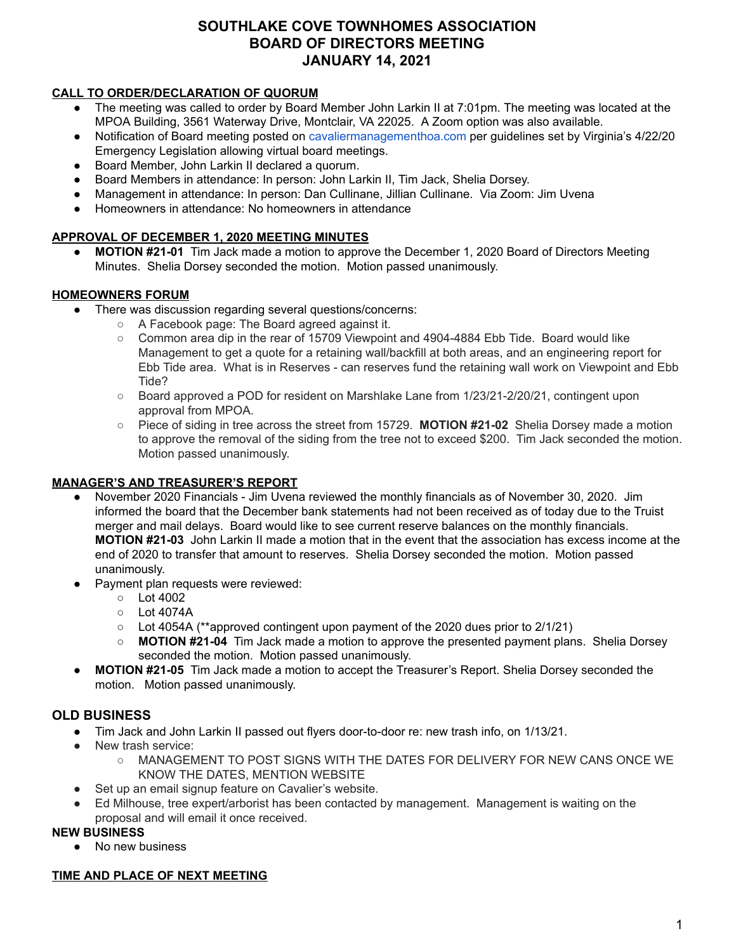# **SOUTHLAKE COVE TOWNHOMES ASSOCIATION BOARD OF DIRECTORS MEETING JANUARY 14, 2021**

### **CALL TO ORDER/DECLARATION OF QUORUM**

- The meeting was called to order by Board Member John Larkin II at 7:01pm. The meeting was located at the MPOA Building, 3561 Waterway Drive, Montclair, VA 22025. A Zoom option was also available.
- Notification of Board meeting posted o[n](http://cavaliermanagementhoa.com/) [cavaliermanagementhoa.com](http://cavaliermanagementhoa.com/) per guidelines set by Virginia's 4/22/20 Emergency Legislation allowing virtual board meetings.
- Board Member, John Larkin II declared a quorum.
- Board Members in attendance: In person: John Larkin II, Tim Jack, Shelia Dorsey.
- Management in attendance: In person: Dan Cullinane, Jillian Cullinane. Via Zoom: Jim Uvena
- Homeowners in attendance: No homeowners in attendance

### **APPROVAL OF DECEMBER 1, 2020 MEETING MINUTES**

**● MOTION #21-01** Tim Jack made a motion to approve the December 1, 2020 Board of Directors Meeting Minutes. Shelia Dorsey seconded the motion. Motion passed unanimously.

### **HOMEOWNERS FORUM**

- There was discussion regarding several questions/concerns:
	- A Facebook page: The Board agreed against it.
	- Common area dip in the rear of 15709 Viewpoint and 4904-4884 Ebb Tide. Board would like Management to get a quote for a retaining wall/backfill at both areas, and an engineering report for Ebb Tide area. What is in Reserves - can reserves fund the retaining wall work on Viewpoint and Ebb Tide?
	- Board approved a POD for resident on Marshlake Lane from 1/23/21-2/20/21, contingent upon approval from MPOA.
	- Piece of siding in tree across the street from 15729. **MOTION #21-02** Shelia Dorsey made a motion to approve the removal of the siding from the tree not to exceed \$200. Tim Jack seconded the motion. Motion passed unanimously.

### **MANAGER'S AND TREASURER'S REPORT**

- November 2020 Financials Jim Uvena reviewed the monthly financials as of November 30, 2020. Jim informed the board that the December bank statements had not been received as of today due to the Truist merger and mail delays. Board would like to see current reserve balances on the monthly financials. **MOTION #21-03** John Larkin II made a motion that in the event that the association has excess income at the end of 2020 to transfer that amount to reserves. Shelia Dorsey seconded the motion. Motion passed unanimously.
- Payment plan requests were reviewed:
	- Lot 4002
	- $\circ$  Lot 4074A
	- Lot 4054A (\*\*approved contingent upon payment of the 2020 dues prior to 2/1/21)
	- **○ MOTION #21-04** Tim Jack made a motion to approve the presented payment plans. Shelia Dorsey seconded the motion. Motion passed unanimously.
- **MOTION #21-05** Tim Jack made a motion to accept the Treasurer's Report. Shelia Dorsey seconded the motion. Motion passed unanimously.

### **OLD BUSINESS**

- Tim Jack and John Larkin II passed out flyers door-to-door re: new trash info, on 1/13/21.
- New trash service:
	- MANAGEMENT TO POST SIGNS WITH THE DATES FOR DELIVERY FOR NEW CANS ONCE WE KNOW THE DATES, MENTION WEBSITE
- Set up an email signup feature on Cavalier's website.
- Ed Milhouse, tree expert/arborist has been contacted by management. Management is waiting on the proposal and will email it once received.

#### **NEW BUSINESS**

● No new business

#### **TIME AND PLACE OF NEXT MEETING**